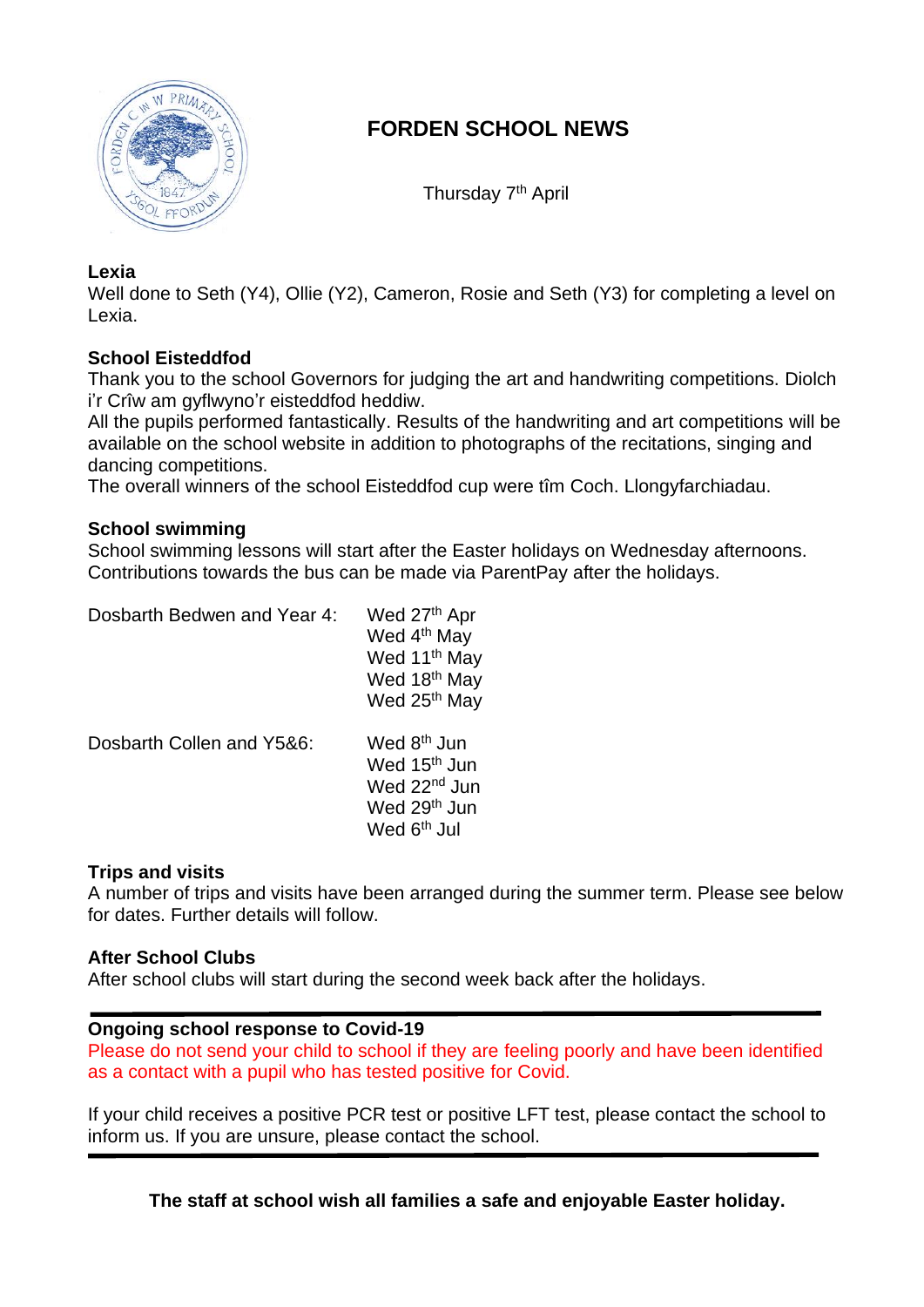

# **FORDEN SCHOOL NEWS**

Thursday 7<sup>th</sup> April

## **Lexia**

Well done to Seth (Y4), Ollie (Y2), Cameron, Rosie and Seth (Y3) for completing a level on Lexia.

## **School Eisteddfod**

Thank you to the school Governors for judging the art and handwriting competitions. Diolch i'r Crîw am gyflwyno'r eisteddfod heddiw.

All the pupils performed fantastically. Results of the handwriting and art competitions will be available on the school website in addition to photographs of the recitations, singing and dancing competitions.

The overall winners of the school Eisteddfod cup were tîm Coch. Llongyfarchiadau.

### **School swimming**

School swimming lessons will start after the Easter holidays on Wednesday afternoons. Contributions towards the bus can be made via ParentPay after the holidays.

Dosbarth Bedwen and Year 4: Wed 27th Apr

| Wed 4 <sup>th</sup> May<br>Wed 11 <sup>th</sup> May<br>Wed 18 <sup>th</sup> May<br>Wed 25 <sup>th</sup> May |
|-------------------------------------------------------------------------------------------------------------|
| Wed 8 <sup>th</sup> Jun<br>Wed 15 <sup>th</sup> Jun<br>Wed 22 <sup>nd</sup> Jun                             |
| Wed 29 <sup>th</sup> Jun<br>Wed 6 <sup>th</sup> Jul                                                         |
|                                                                                                             |

#### **Trips and visits**

A number of trips and visits have been arranged during the summer term. Please see below for dates. Further details will follow.

#### **After School Clubs**

After school clubs will start during the second week back after the holidays.

#### **Ongoing school response to Covid-19**

Please do not send your child to school if they are feeling poorly and have been identified as a contact with a pupil who has tested positive for Covid.

If your child receives a positive PCR test or positive LFT test, please contact the school to inform us. If you are unsure, please contact the school.

**The staff at school wish all families a safe and enjoyable Easter holiday.**